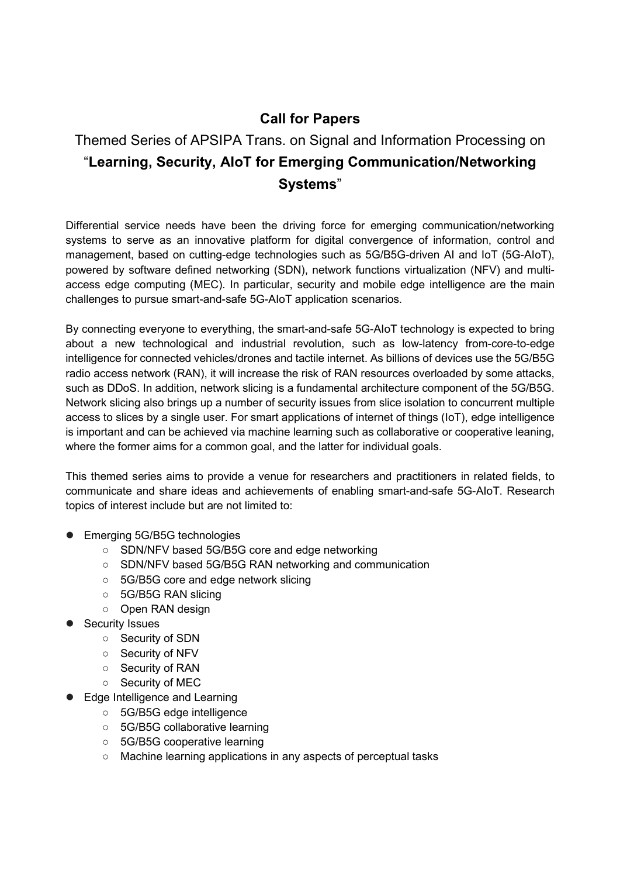## Call for Papers

## Themed Series of APSIPA Trans. on Signal and Information Processing on "Learning, Security, AIoT for Emerging Communication/Networking Systems"

Differential service needs have been the driving force for emerging communication/networking systems to serve as an innovative platform for digital convergence of information, control and management, based on cutting-edge technologies such as 5G/B5G-driven AI and IoT (5G-AIoT), powered by software defined networking (SDN), network functions virtualization (NFV) and multiaccess edge computing (MEC). In particular, security and mobile edge intelligence are the main challenges to pursue smart-and-safe 5G-AIoT application scenarios.

By connecting everyone to everything, the smart-and-safe 5G-AIoT technology is expected to bring about a new technological and industrial revolution, such as low-latency from-core-to-edge intelligence for connected vehicles/drones and tactile internet. As billions of devices use the 5G/B5G radio access network (RAN), it will increase the risk of RAN resources overloaded by some attacks, such as DDoS. In addition, network slicing is a fundamental architecture component of the 5G/B5G. Network slicing also brings up a number of security issues from slice isolation to concurrent multiple access to slices by a single user. For smart applications of internet of things (IoT), edge intelligence is important and can be achieved via machine learning such as collaborative or cooperative leaning, where the former aims for a common goal, and the latter for individual goals.

This themed series aims to provide a venue for researchers and practitioners in related fields, to communicate and share ideas and achievements of enabling smart-and-safe 5G-AIoT. Research topics of interest include but are not limited to:

- Emerging 5G/B5G technologies
	- SDN/NFV based 5G/B5G core and edge networking
	- SDN/NFV based 5G/B5G RAN networking and communication
	- 5G/B5G core and edge network slicing
	- 5G/B5G RAN slicing
	- Open RAN design
- Security Issues
	- Security of SDN
	- Security of NFV
	- Security of RAN
	- Security of MEC
- Edge Intelligence and Learning
	- 5G/B5G edge intelligence
	- 5G/B5G collaborative learning
	- 5G/B5G cooperative learning
	- Machine learning applications in any aspects of perceptual tasks